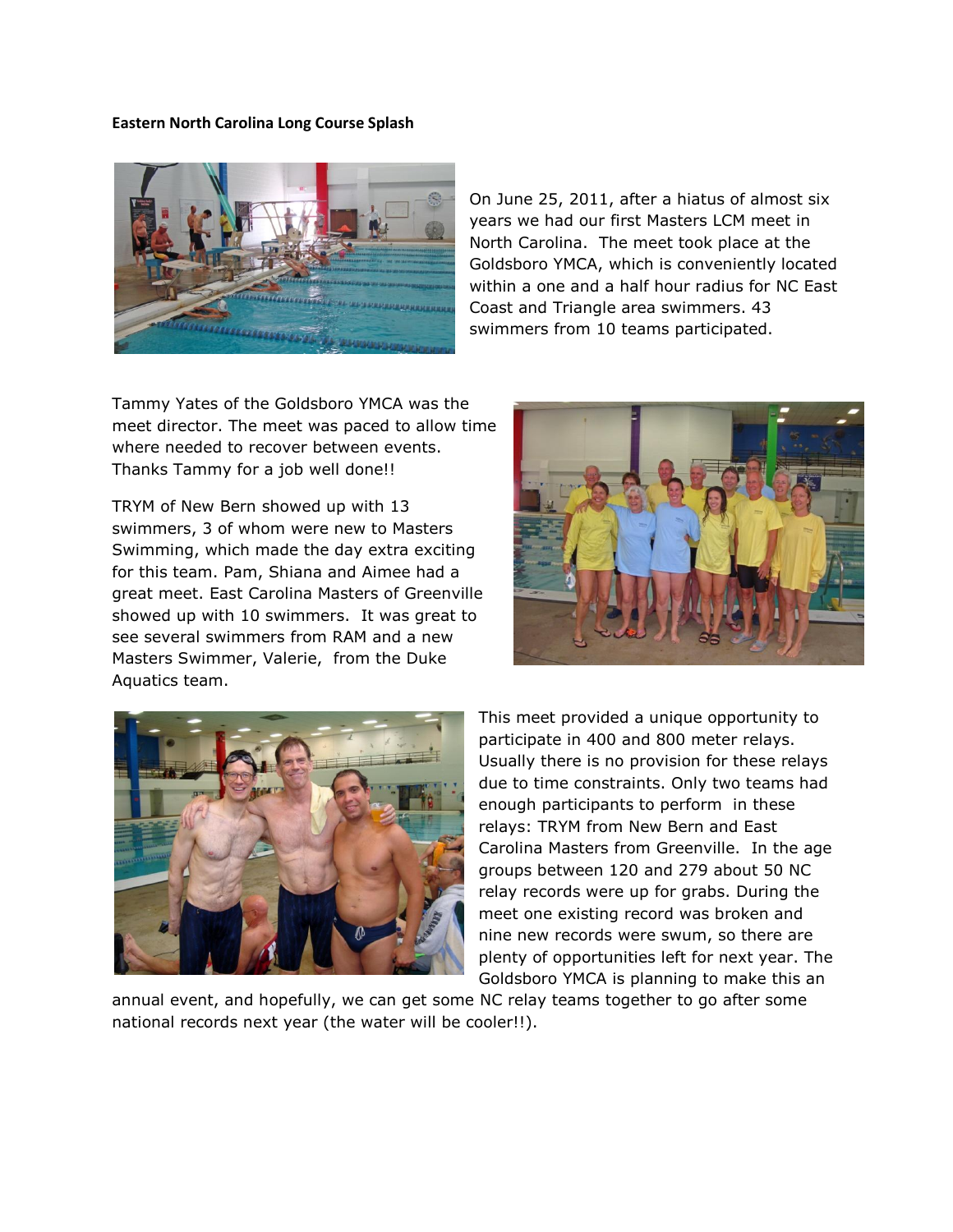## **Eastern North Carolina Long Course Splash**



On June 25, 2011, after a hiatus of almost six years we had our first Masters LCM meet in North Carolina. The meet took place at the Goldsboro YMCA, which is conveniently located within a one and a half hour radius for NC East Coast and Triangle area swimmers. 43 swimmers from 10 teams participated.

Tammy Yates of the Goldsboro YMCA was the meet director. The meet was paced to allow time where needed to recover between events. Thanks Tammy for a job well done!!

TRYM of New Bern showed up with 13 swimmers, 3 of whom were new to Masters Swimming, which made the day extra exciting for this team. Pam, Shiana and Aimee had a great meet. East Carolina Masters of Greenville showed up with 10 swimmers. It was great to see several swimmers from RAM and a new Masters Swimmer, Valerie, from the Duke Aquatics team.





This meet provided a unique opportunity to participate in 400 and 800 meter relays. Usually there is no provision for these relays due to time constraints. Only two teams had enough participants to perform in these relays: TRYM from New Bern and East Carolina Masters from Greenville. In the age groups between 120 and 279 about 50 NC relay records were up for grabs. During the meet one existing record was broken and nine new records were swum, so there are plenty of opportunities left for next year. The Goldsboro YMCA is planning to make this an

annual event, and hopefully, we can get some NC relay teams together to go after some national records next year (the water will be cooler!!).